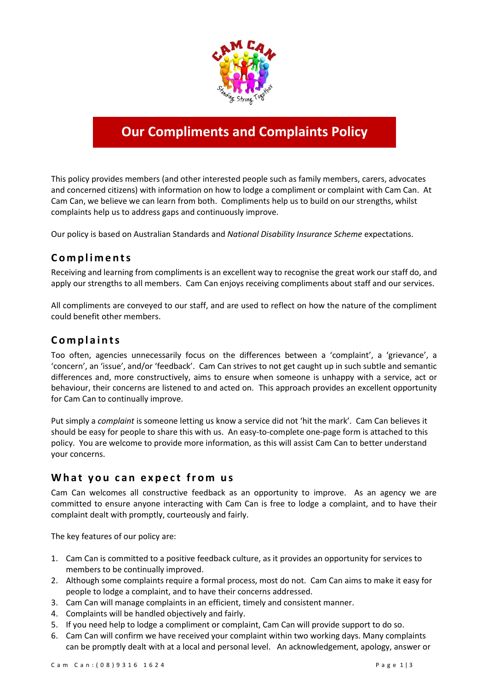

# **Our Compliments and Complaints Policy**

This policy provides members (and other interested people such as family members, carers, advocates and concerned citizens) with information on how to lodge a compliment or complaint with Cam Can. At Cam Can, we believe we can learn from both. Compliments help us to build on our strengths, whilst complaints help us to address gaps and continuously improve.

Our policy is based on Australian Standards and *National Disability Insurance Scheme* expectations.

# **C o m p l i m e n t s**

Receiving and learning from compliments is an excellent way to recognise the great work our staff do, and apply our strengths to all members. Cam Can enjoys receiving compliments about staff and our services.

All compliments are conveyed to our staff, and are used to reflect on how the nature of the compliment could benefit other members.

## **C o m p l a i n t s**

Too often, agencies unnecessarily focus on the differences between a 'complaint', a 'grievance', a 'concern', an 'issue', and/or 'feedback'. Cam Can strives to not get caught up in such subtle and semantic differences and, more constructively, aims to ensure when someone is unhappy with a service, act or behaviour, their concerns are listened to and acted on. This approach provides an excellent opportunity for Cam Can to continually improve.

Put simply a *complaint* is someone letting us know a service did not 'hit the mark'. Cam Can believes it should be easy for people to share this with us. An easy-to-complete one-page form is attached to this policy. You are welcome to provide more information, as this will assist Cam Can to better understand your concerns.

#### **What you can expect from us**

Cam Can welcomes all constructive feedback as an opportunity to improve. As an agency we are committed to ensure anyone interacting with Cam Can is free to lodge a complaint, and to have their complaint dealt with promptly, courteously and fairly.

The key features of our policy are:

- 1. Cam Can is committed to a positive feedback culture, as it provides an opportunity for services to members to be continually improved.
- 2. Although some complaints require a formal process, most do not. Cam Can aims to make it easy for people to lodge a complaint, and to have their concerns addressed.
- 3. Cam Can will manage complaints in an efficient, timely and consistent manner.
- 4. Complaints will be handled objectively and fairly.
- 5. If you need help to lodge a compliment or complaint, Cam Can will provide support to do so.
- 6. Cam Can will confirm we have received your complaint within two working days. Many complaints can be promptly dealt with at a local and personal level. An acknowledgement, apology, answer or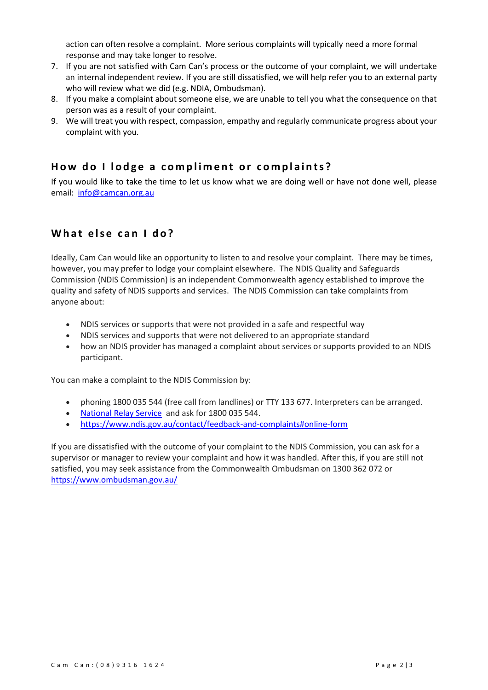action can often resolve a complaint. More serious complaints will typically need a more formal response and may take longer to resolve.

- 7. If you are not satisfied with Cam Can's process or the outcome of your complaint, we will undertake an internal independent review. If you are still dissatisfied, we will help refer you to an external party who will review what we did (e.g. NDIA, Ombudsman).
- 8. If you make a complaint about someone else, we are unable to tell you what the consequence on that person was as a result of your complaint.
- 9. We will treat you with respect, compassion, empathy and regularly communicate progress about your complaint with you.

#### How do I lodge a compliment or complaints?

If you would like to take the time to let us know what we are doing well or have not done well, please email: [info@camcan.org.au](mailto:info@camcan.org.au)

### What else can I do?

Ideally, Cam Can would like an opportunity to listen to and resolve your complaint. There may be times, however, you may prefer to lodge your complaint elsewhere. The NDIS Quality and Safeguards Commission (NDIS Commission) is an independent Commonwealth agency established to improve the quality and safety of NDIS supports and services. The NDIS Commission can take complaints from anyone about:

- NDIS services or supports that were not provided in a safe and respectful way
- NDIS services and supports that were not delivered to an appropriate standard
- how an NDIS provider has managed a complaint about services or supports provided to an NDIS participant.

You can make a complaint to the NDIS Commission by:

- phoning 1800 035 544 (free call from landlines) or TTY 133 677. Interpreters can be arranged.
- [National Relay Service](https://www.communications.gov.au/what-we-do/phone/services-people-disability/accesshub/national-relay-service) and ask for 1800 035 544.
- <https://www.ndis.gov.au/contact/feedback-and-complaints#online-form>

If you are dissatisfied with the outcome of your complaint to the NDIS Commission, you can ask for a supervisor or manager to review your complaint and how it was handled. After this, if you are still not satisfied, you may seek assistance from the Commonwealth Ombudsman on 1300 362 072 or <https://www.ombudsman.gov.au/>